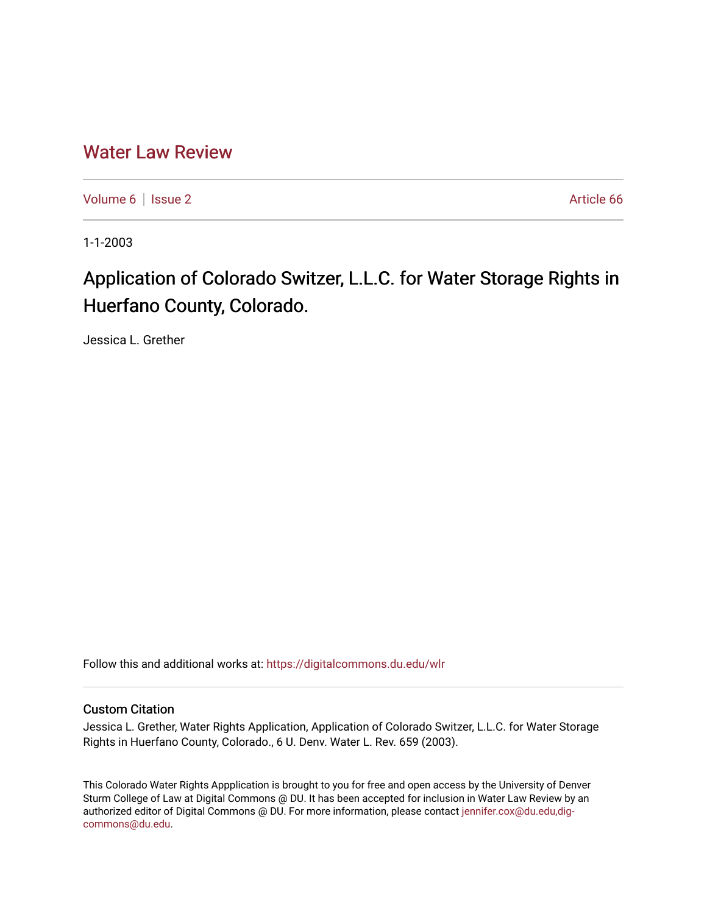## [Water Law Review](https://digitalcommons.du.edu/wlr)

[Volume 6](https://digitalcommons.du.edu/wlr/vol6) | [Issue 2](https://digitalcommons.du.edu/wlr/vol6/iss2) Article 66

1-1-2003

# Application of Colorado Switzer, L.L.C. for Water Storage Rights in Huerfano County, Colorado.

Jessica L. Grether

Follow this and additional works at: [https://digitalcommons.du.edu/wlr](https://digitalcommons.du.edu/wlr?utm_source=digitalcommons.du.edu%2Fwlr%2Fvol6%2Fiss2%2F66&utm_medium=PDF&utm_campaign=PDFCoverPages) 

### Custom Citation

Jessica L. Grether, Water Rights Application, Application of Colorado Switzer, L.L.C. for Water Storage Rights in Huerfano County, Colorado., 6 U. Denv. Water L. Rev. 659 (2003).

This Colorado Water Rights Appplication is brought to you for free and open access by the University of Denver Sturm College of Law at Digital Commons @ DU. It has been accepted for inclusion in Water Law Review by an authorized editor of Digital Commons @ DU. For more information, please contact [jennifer.cox@du.edu,dig](mailto:jennifer.cox@du.edu,dig-commons@du.edu)[commons@du.edu.](mailto:jennifer.cox@du.edu,dig-commons@du.edu)